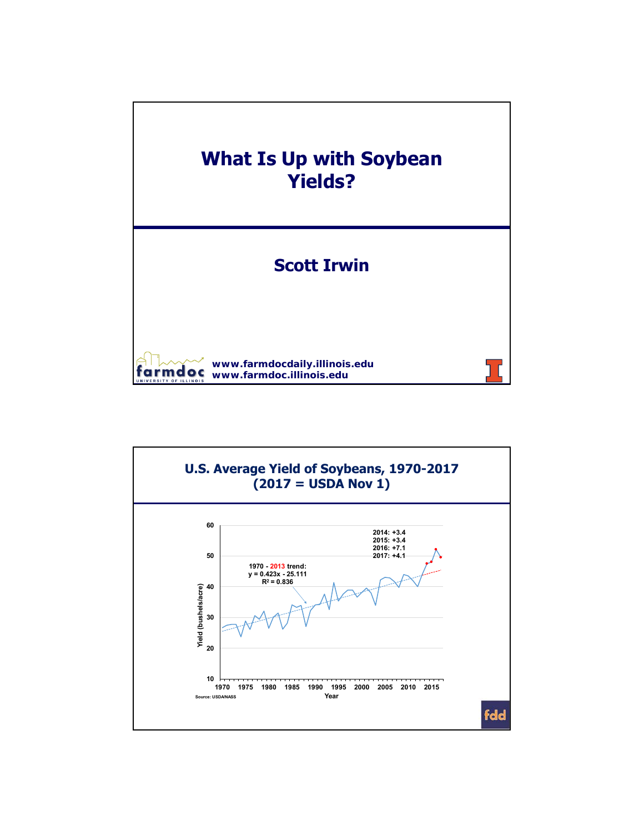

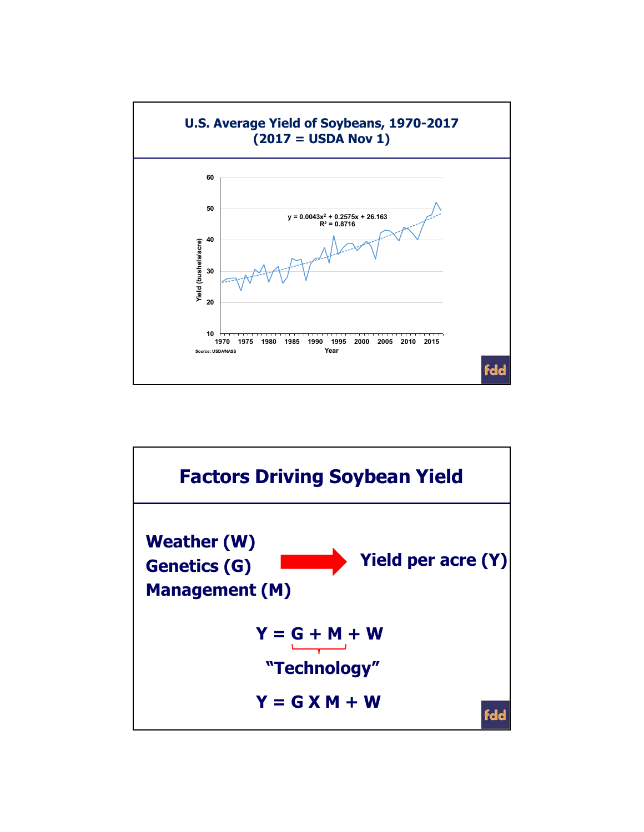

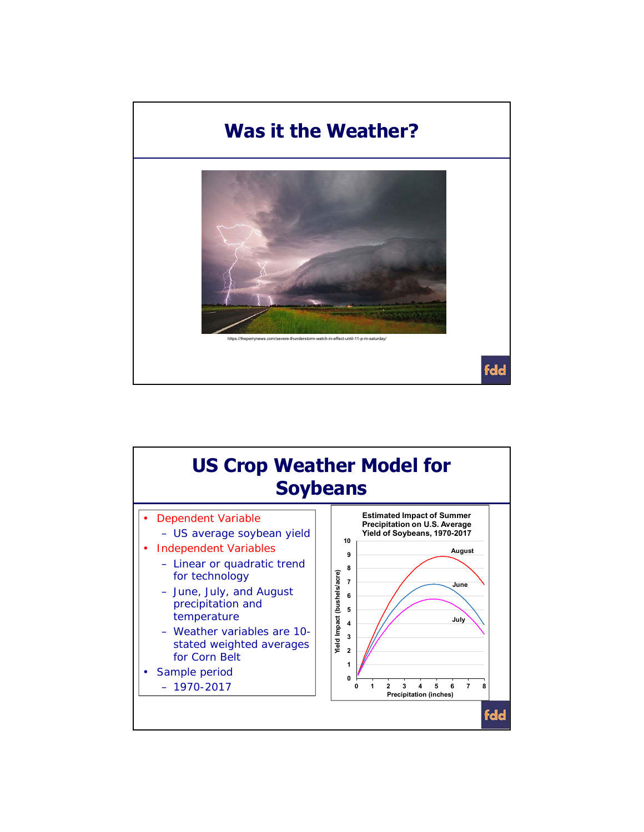

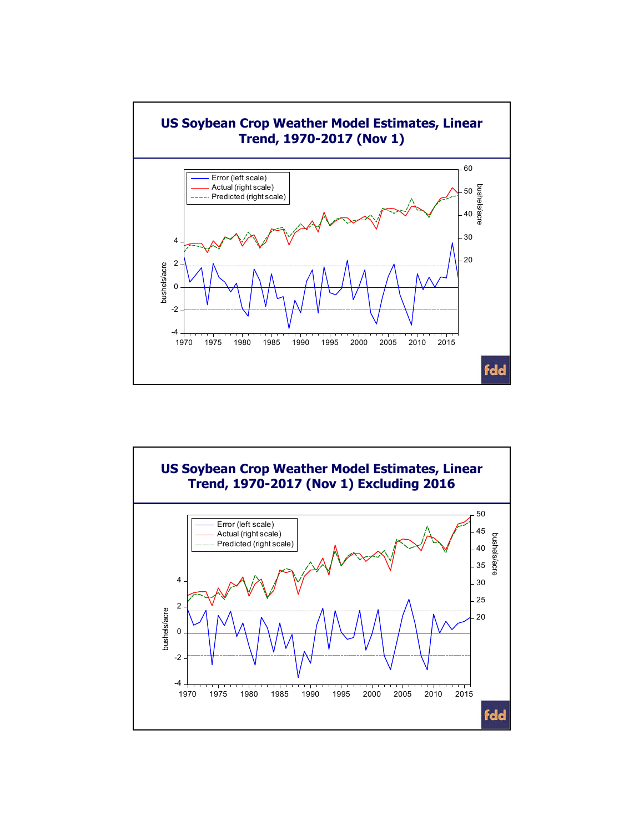

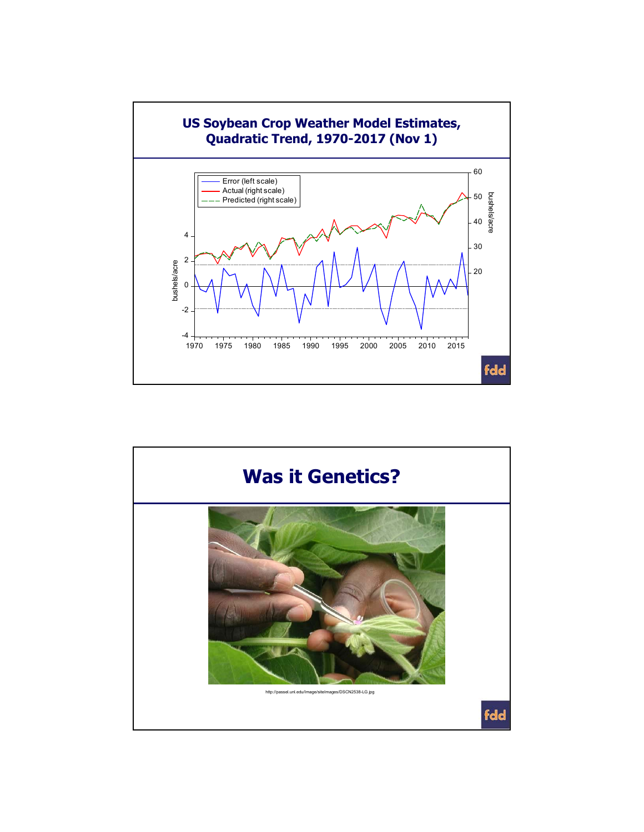

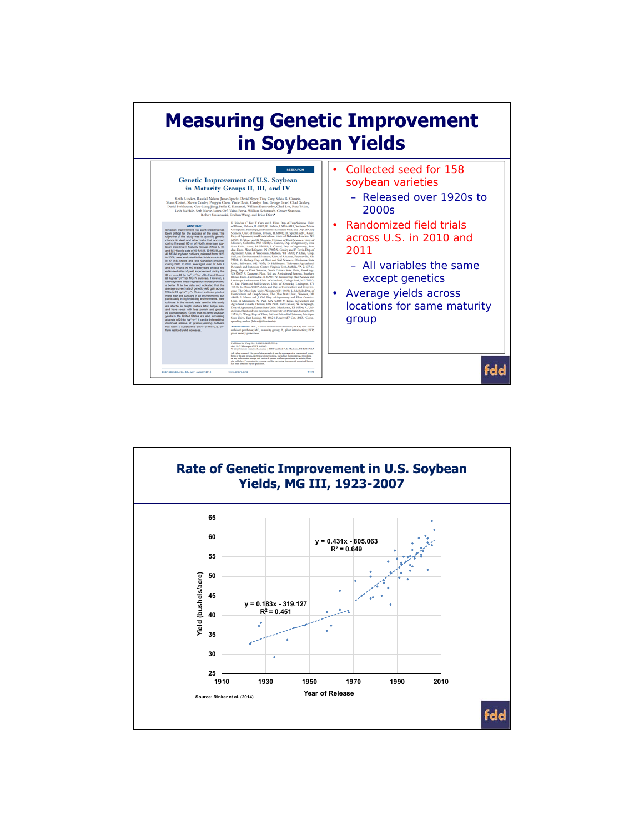

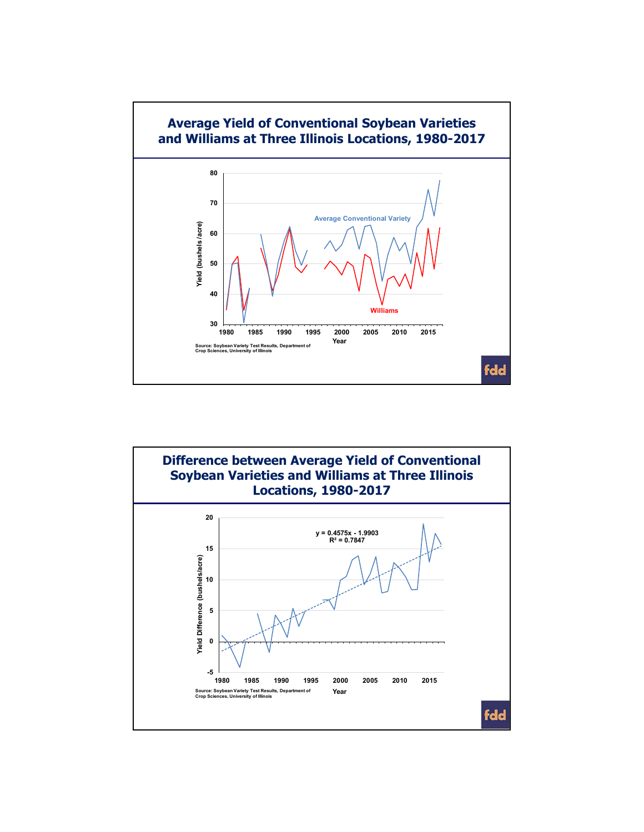

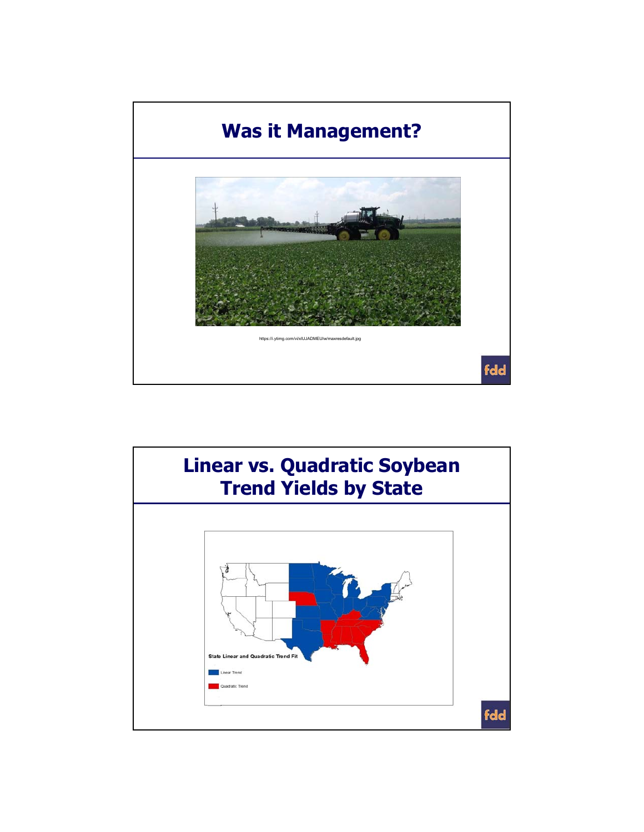

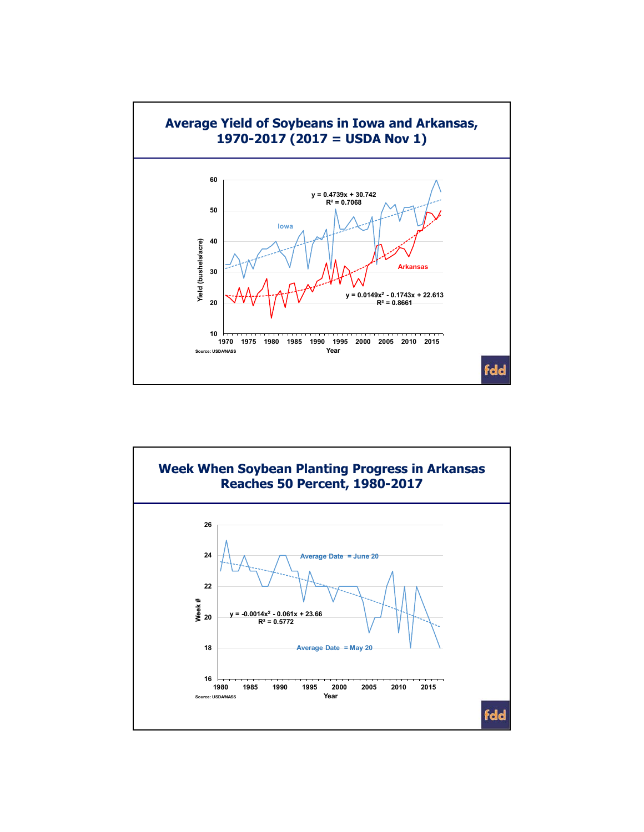

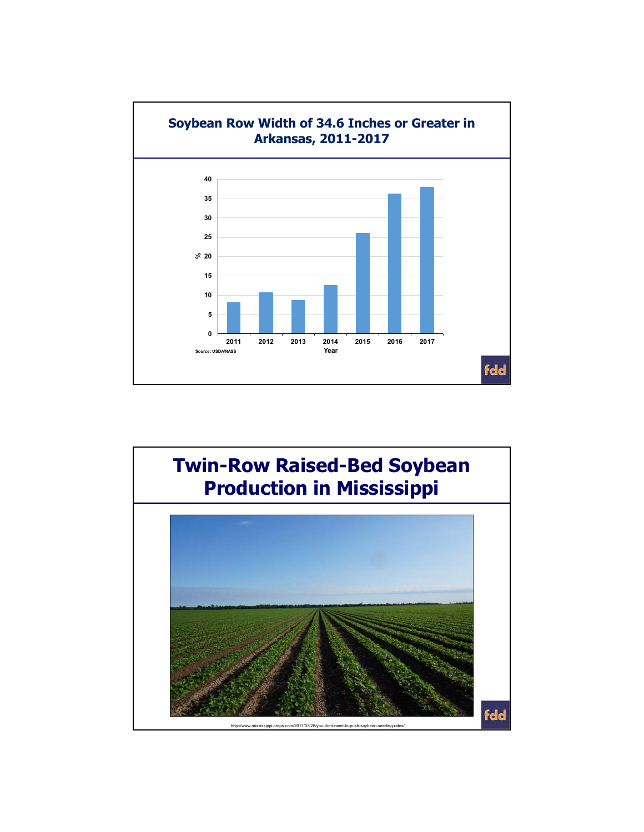